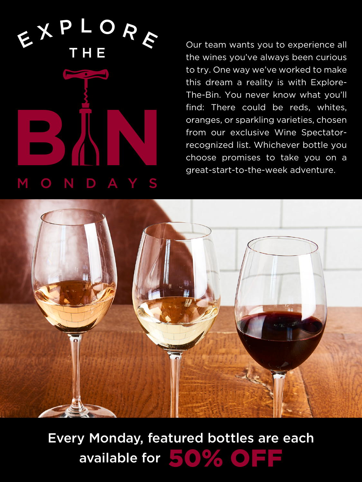EXP DR E **B N** THE O N D A

Our team wants you to experience all the wines you've always been curious to try. One way we've worked to make this dream a reality is with Explore-The-Bin. You never know what you'll find: There could be reds, whites, oranges, or sparkling varieties, chosen from our exclusive Wine Spectatorrecognized list. Whichever bottle you choose promises to take you on a great-start-to-the-week adventure.



Every Monday, featured bottles are each available for  $\blacktriangleright$  (0)  $\blacktriangleright$  (0)  $\blacktriangleright$   $\blacktriangleright$